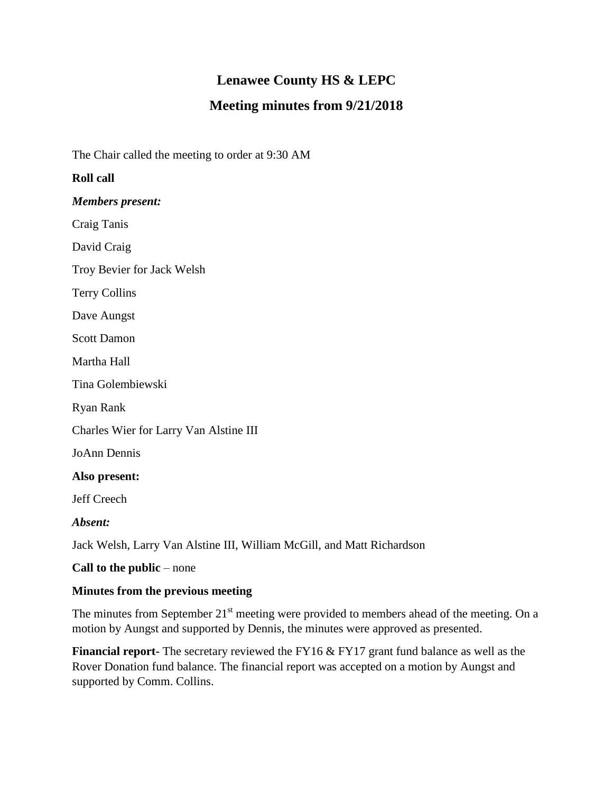# **Lenawee County HS & LEPC**

## **Meeting minutes from 9/21/2018**

The Chair called the meeting to order at 9:30 AM

### **Roll call**

*Members present:*

Craig Tanis

David Craig

Troy Bevier for Jack Welsh

Terry Collins

Dave Aungst

Scott Damon

Martha Hall

Tina Golembiewski

Ryan Rank

Charles Wier for Larry Van Alstine III

JoAnn Dennis

#### **Also present:**

Jeff Creech

*Absent:*

Jack Welsh, Larry Van Alstine III, William McGill, and Matt Richardson

**Call to the public** – none

#### **Minutes from the previous meeting**

The minutes from September  $21<sup>st</sup>$  meeting were provided to members ahead of the meeting. On a motion by Aungst and supported by Dennis, the minutes were approved as presented.

**Financial report-** The secretary reviewed the FY16 & FY17 grant fund balance as well as the Rover Donation fund balance. The financial report was accepted on a motion by Aungst and supported by Comm. Collins.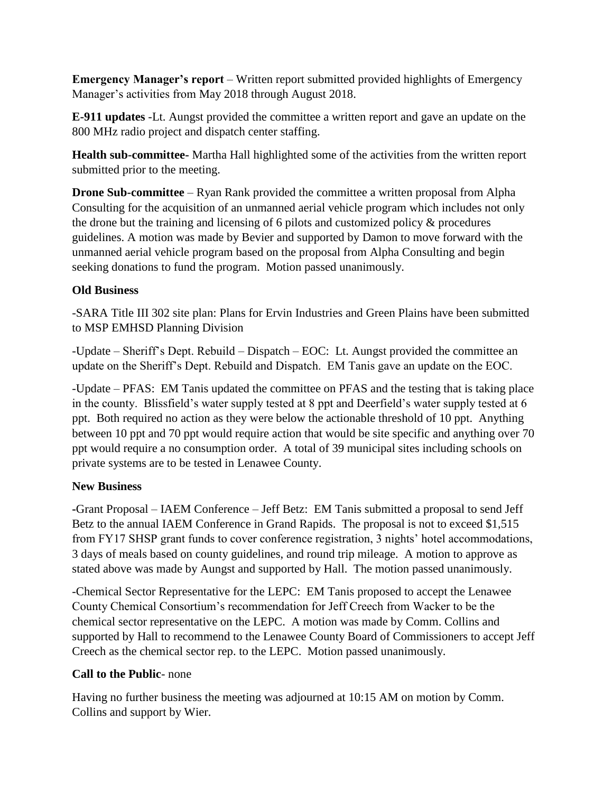**Emergency Manager's report** – Written report submitted provided highlights of Emergency Manager's activities from May 2018 through August 2018.

**E-911 updates** -Lt. Aungst provided the committee a written report and gave an update on the 800 MHz radio project and dispatch center staffing.

**Health sub-committee-** Martha Hall highlighted some of the activities from the written report submitted prior to the meeting.

**Drone Sub-committee** – Ryan Rank provided the committee a written proposal from Alpha Consulting for the acquisition of an unmanned aerial vehicle program which includes not only the drone but the training and licensing of 6 pilots and customized policy & procedures guidelines. A motion was made by Bevier and supported by Damon to move forward with the unmanned aerial vehicle program based on the proposal from Alpha Consulting and begin seeking donations to fund the program. Motion passed unanimously.

## **Old Business**

-SARA Title III 302 site plan: Plans for Ervin Industries and Green Plains have been submitted to MSP EMHSD Planning Division

-Update – Sheriff's Dept. Rebuild – Dispatch – EOC: Lt. Aungst provided the committee an update on the Sheriff's Dept. Rebuild and Dispatch. EM Tanis gave an update on the EOC.

-Update – PFAS: EM Tanis updated the committee on PFAS and the testing that is taking place in the county. Blissfield's water supply tested at 8 ppt and Deerfield's water supply tested at 6 ppt. Both required no action as they were below the actionable threshold of 10 ppt. Anything between 10 ppt and 70 ppt would require action that would be site specific and anything over 70 ppt would require a no consumption order. A total of 39 municipal sites including schools on private systems are to be tested in Lenawee County.

#### **New Business**

**-**Grant Proposal – IAEM Conference – Jeff Betz: EM Tanis submitted a proposal to send Jeff Betz to the annual IAEM Conference in Grand Rapids. The proposal is not to exceed \$1,515 from FY17 SHSP grant funds to cover conference registration, 3 nights' hotel accommodations, 3 days of meals based on county guidelines, and round trip mileage. A motion to approve as stated above was made by Aungst and supported by Hall. The motion passed unanimously.

-Chemical Sector Representative for the LEPC: EM Tanis proposed to accept the Lenawee County Chemical Consortium's recommendation for Jeff Creech from Wacker to be the chemical sector representative on the LEPC. A motion was made by Comm. Collins and supported by Hall to recommend to the Lenawee County Board of Commissioners to accept Jeff Creech as the chemical sector rep. to the LEPC. Motion passed unanimously.

## **Call to the Public**- none

Having no further business the meeting was adjourned at 10:15 AM on motion by Comm. Collins and support by Wier.